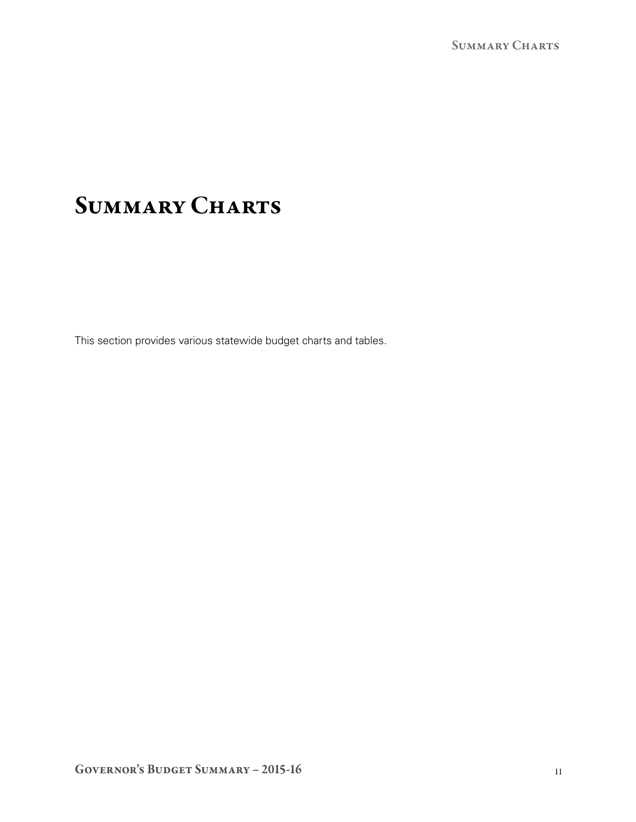# SUMMARY CHARTS

This section provides various statewide budget charts and tables.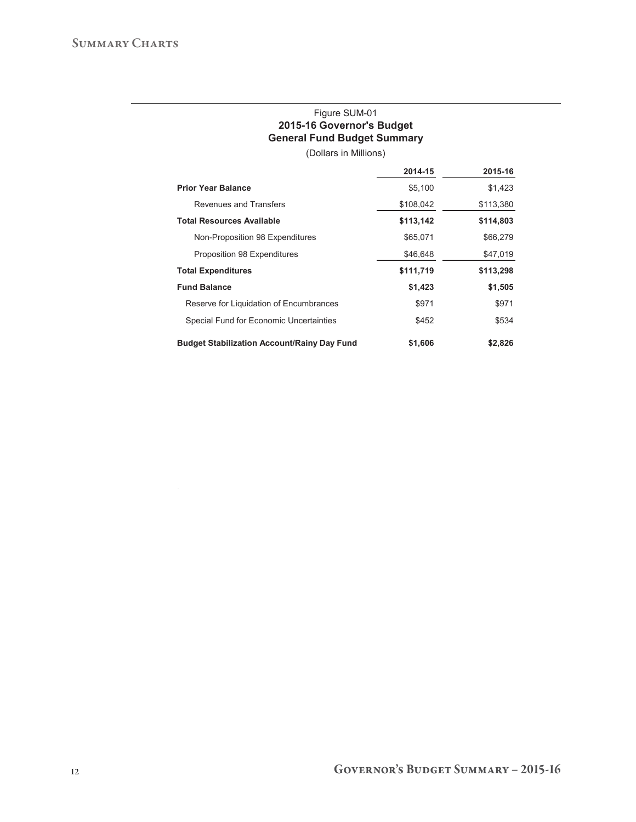## Figure SUM-01 **2015-16 Governor's Budget General Fund Budget Summary**

(Dollars in Millions)

|                                                    | 2014-15   | 2015-16   |
|----------------------------------------------------|-----------|-----------|
| <b>Prior Year Balance</b>                          | \$5,100   | \$1,423   |
| Revenues and Transfers                             | \$108,042 | \$113,380 |
| <b>Total Resources Available</b>                   | \$113,142 | \$114,803 |
| Non-Proposition 98 Expenditures                    | \$65,071  | \$66,279  |
| Proposition 98 Expenditures                        | \$46,648  | \$47,019  |
| <b>Total Expenditures</b>                          | \$111,719 | \$113,298 |
| <b>Fund Balance</b>                                | \$1,423   | \$1,505   |
| Reserve for Liquidation of Encumbrances            | \$971     | \$971     |
| Special Fund for Economic Uncertainties            | \$452     | \$534     |
| <b>Budget Stabilization Account/Rainy Day Fund</b> | \$1,606   | \$2,826   |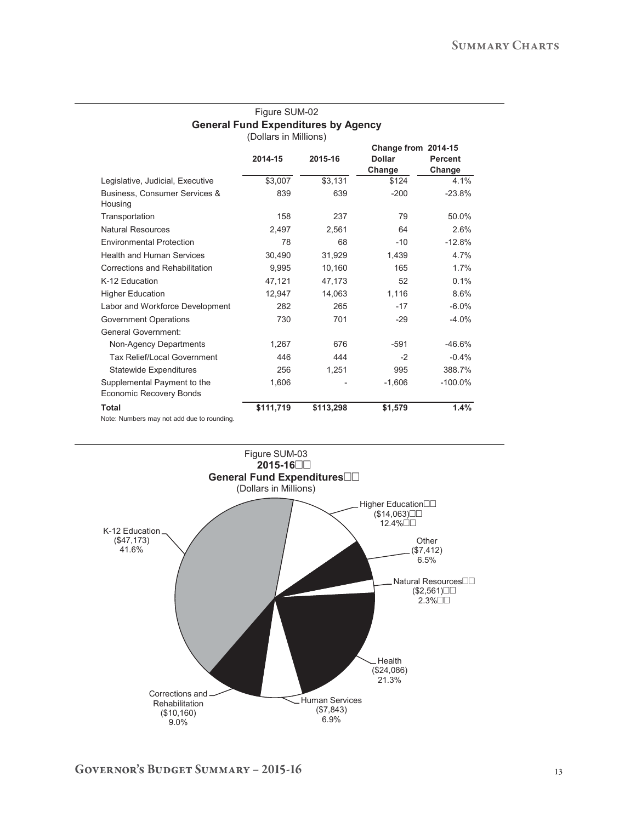### Figure SUM-02 **General Fund Expenditures by Agency**  (Dollars in Millions)

|                                                        |           |           | Change from 2014-15 |                |
|--------------------------------------------------------|-----------|-----------|---------------------|----------------|
|                                                        | 2014-15   | 2015-16   | <b>Dollar</b>       | <b>Percent</b> |
|                                                        |           |           | Change              | Change         |
| Legislative, Judicial, Executive                       | \$3,007   | \$3,131   | \$124               | 4.1%           |
| Business, Consumer Services &<br>Housing               | 839       | 639       | $-200$              | $-23.8%$       |
| Transportation                                         | 158       | 237       | 79                  | 50.0%          |
| Natural Resources                                      | 2,497     | 2,561     | 64                  | 2.6%           |
| <b>Environmental Protection</b>                        | 78        | 68        | $-10$               | $-12.8%$       |
| <b>Health and Human Services</b>                       | 30,490    | 31,929    | 1,439               | 4.7%           |
| Corrections and Rehabilitation                         | 9,995     | 10,160    | 165                 | 1.7%           |
| K-12 Education                                         | 47,121    | 47,173    | 52                  | 0.1%           |
| <b>Higher Education</b>                                | 12.947    | 14,063    | 1,116               | 8.6%           |
| Labor and Workforce Development                        | 282       | 265       | $-17$               | $-6.0%$        |
| Government Operations                                  | 730       | 701       | $-29$               | $-4.0%$        |
| <b>General Government:</b>                             |           |           |                     |                |
| Non-Agency Departments                                 | 1,267     | 676       | $-591$              | $-46.6%$       |
| Tax Relief/Local Government                            | 446       | 444       | $-2$                | $-0.4%$        |
| <b>Statewide Expenditures</b>                          | 256       | 1,251     | 995                 | 388.7%         |
| Supplemental Payment to the<br>Economic Recovery Bonds | 1,606     |           | $-1,606$            | $-100.0\%$     |
| <b>Total</b>                                           | \$111,719 | \$113,298 | \$1,579             | 1.4%           |
| Note: Numbers may not add due to rounding.             |           |           |                     |                |

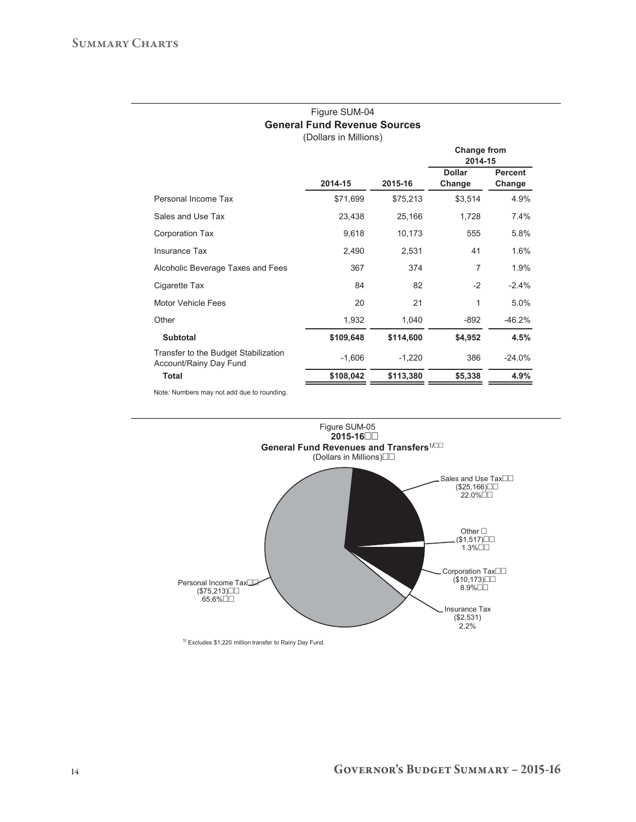### Figure SUM-04 **General Fund Revenue Sources**  (Dollars in Millions)

|                                                                | 2014-15   |           | Change from<br>2014-15  |                          |
|----------------------------------------------------------------|-----------|-----------|-------------------------|--------------------------|
|                                                                |           | 2015-16   | <b>Dollar</b><br>Change | <b>Percent</b><br>Change |
| Personal Income Tax                                            | \$71,699  | \$75,213  | \$3,514                 | 4.9%                     |
| Sales and Use Tax                                              | 23,438    | 25,166    | 1,728                   | 7.4%                     |
| Corporation Tax                                                | 9,618     | 10,173    | 555                     | 5.8%                     |
| Insurance Tax                                                  | 2,490     | 2,531     | 41                      | 1.6%                     |
| Alcoholic Beverage Taxes and Fees                              | 367       | 374       | $\overline{7}$          | 1.9%                     |
| Cigarette Tax                                                  | 84        | 82        | $-2$                    | $-2.4%$                  |
| Motor Vehicle Fees                                             | 20        | 21        | 1                       | 5.0%                     |
| Other                                                          | 1,932     | 1,040     | $-892$                  | $-46.2%$                 |
| <b>Subtotal</b>                                                | \$109,648 | \$114,600 | \$4,952                 | 4.5%                     |
| Transfer to the Budget Stabilization<br>Account/Rainy Day Fund | $-1,606$  | $-1,220$  | 386                     | $-24.0%$                 |
| <b>Total</b>                                                   | \$108,042 | \$113,380 | \$5,338                 | 4.9%                     |
| Note: Numbers may not add due to rounding.                     |           |           |                         |                          |



 $1/$  Excludes \$1,220 million transfer to Rainy Day Fund.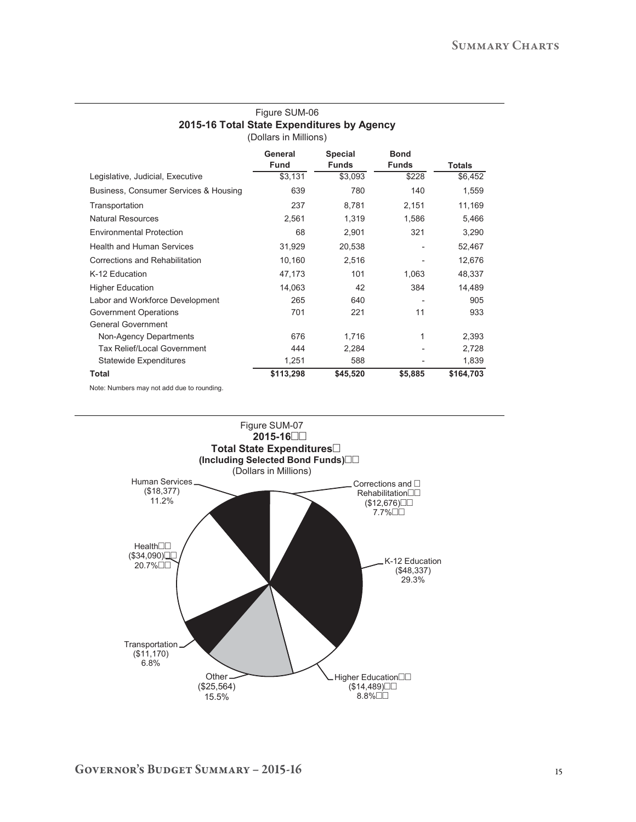### Figure SUM-06 **2015-16 Total State Expenditures by Agency**  (Dollars in Millions)

|                                                                               | General<br>Fund | <b>Special</b><br><b>Funds</b> | <b>Bond</b><br><b>Funds</b> | <b>Totals</b> |
|-------------------------------------------------------------------------------|-----------------|--------------------------------|-----------------------------|---------------|
| Legislative, Judicial, Executive                                              | \$3,131         | \$3,093                        | \$228                       | \$6,452       |
| Business, Consumer Services & Housing                                         | 639             | 780                            | 140                         | 1,559         |
| Transportation                                                                | 237             | 8,781                          | 2,151                       | 11,169        |
| <b>Natural Resources</b>                                                      | 2,561           | 1,319                          | 1,586                       | 5,466         |
| <b>Environmental Protection</b>                                               | 68              | 2,901                          | 321                         | 3,290         |
| <b>Health and Human Services</b>                                              | 31,929          | 20,538                         |                             | 52,467        |
| Corrections and Rehabilitation                                                | 10,160          | 2,516                          |                             | 12,676        |
| K-12 Education                                                                | 47,173          | 101                            | 1,063                       | 48,337        |
| <b>Higher Education</b>                                                       | 14,063          | 42                             | 384                         | 14,489        |
| Labor and Workforce Development                                               | 265             | 640                            |                             | 905           |
| <b>Government Operations</b>                                                  | 701             | 221                            | 11                          | 933           |
| <b>General Government</b>                                                     |                 |                                |                             |               |
| Non-Agency Departments                                                        | 676             | 1,716                          | 1                           | 2,393         |
| Tax Relief/Local Government                                                   | 444             | 2,284                          |                             | 2,728         |
| <b>Statewide Expenditures</b>                                                 | 1,251           | 588                            |                             | 1,839         |
| <b>Total</b>                                                                  | \$113,298       | \$45,520                       | \$5,885                     | \$164,703     |
| A hostical A homes because the contract of the share of a construction of the |                 |                                |                             |               |

Note: Numbers may not add due to rounding.